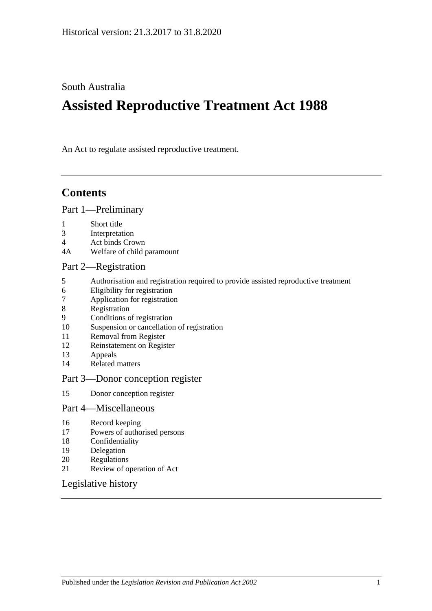South Australia

# **Assisted Reproductive Treatment Act 1988**

An Act to regulate assisted reproductive treatment.

## **Contents**

#### [Part 1—Preliminary](#page-1-0)

- 1 [Short title](#page-1-1)
- 3 [Interpretation](#page-1-2)
- 4 [Act binds Crown](#page-1-3)
- 4A [Welfare of child paramount](#page-1-4)

#### [Part 2—Registration](#page-2-0)

- 5 [Authorisation and registration required to provide assisted reproductive treatment](#page-2-1)
- 6 [Eligibility for registration](#page-2-2)
- 7 [Application for registration](#page-2-3)
- 8 [Registration](#page-3-0)
- 9 [Conditions of registration](#page-3-1)
- 10 [Suspension or cancellation of registration](#page-4-0)
- 11 [Removal from Register](#page-5-0)<br>12 Reinstatement on Regis
- [Reinstatement on Register](#page-5-1)
- 13 [Appeals](#page-5-2)
- 14 [Related matters](#page-6-0)

#### [Part 3—Donor conception register](#page-6-1)

15 [Donor conception register](#page-6-2)

#### [Part 4—Miscellaneous](#page-7-0)

- 16 [Record keeping](#page-7-1)
- 17 [Powers of authorised persons](#page-7-2)
- 18 [Confidentiality](#page-8-0)
- 19 [Delegation](#page-8-1)
- 20 [Regulations](#page-9-0)
- 21 [Review of operation of Act](#page-9-1)

#### [Legislative history](#page-10-0)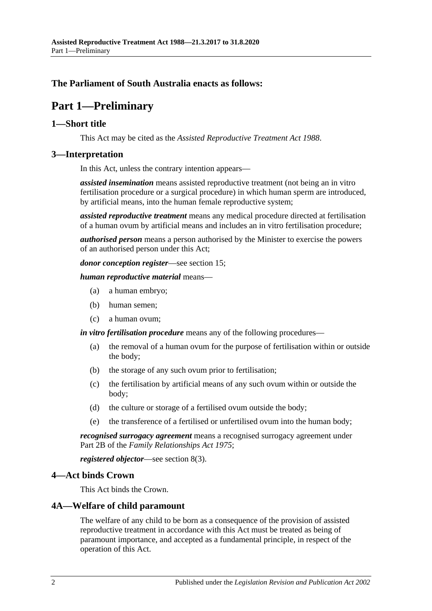### <span id="page-1-0"></span>**The Parliament of South Australia enacts as follows:**

## **Part 1—Preliminary**

#### <span id="page-1-1"></span>**1—Short title**

This Act may be cited as the *Assisted Reproductive Treatment Act 1988*.

#### <span id="page-1-2"></span>**3—Interpretation**

In this Act, unless the contrary intention appears—

*assisted insemination* means assisted reproductive treatment (not being an in vitro fertilisation procedure or a surgical procedure) in which human sperm are introduced, by artificial means, into the human female reproductive system;

*assisted reproductive treatment* means any medical procedure directed at fertilisation of a human ovum by artificial means and includes an in vitro fertilisation procedure;

*authorised person* means a person authorised by the Minister to exercise the powers of an authorised person under this Act;

*donor conception register*—see [section](#page-6-2) 15;

*human reproductive material* means—

- (a) a human embryo;
- (b) human semen;
- (c) a human ovum;

*in vitro fertilisation procedure* means any of the following procedures—

- (a) the removal of a human ovum for the purpose of fertilisation within or outside the body;
- (b) the storage of any such ovum prior to fertilisation;
- (c) the fertilisation by artificial means of any such ovum within or outside the body;
- (d) the culture or storage of a fertilised ovum outside the body;
- (e) the transference of a fertilised or unfertilised ovum into the human body;

*recognised surrogacy agreement* means a recognised surrogacy agreement under Part 2B of the *[Family Relationships Act](http://www.legislation.sa.gov.au/index.aspx?action=legref&type=act&legtitle=Family%20Relationships%20Act%201975) 1975*;

*registered objector*—see [section](#page-3-2) 8(3).

#### <span id="page-1-3"></span>**4—Act binds Crown**

This Act binds the Crown.

#### <span id="page-1-4"></span>**4A—Welfare of child paramount**

The welfare of any child to be born as a consequence of the provision of assisted reproductive treatment in accordance with this Act must be treated as being of paramount importance, and accepted as a fundamental principle, in respect of the operation of this Act.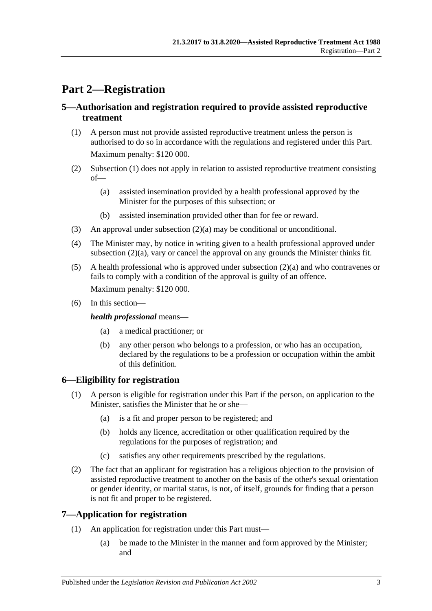## <span id="page-2-0"></span>**Part 2—Registration**

#### <span id="page-2-1"></span>**5—Authorisation and registration required to provide assisted reproductive treatment**

- <span id="page-2-4"></span>(1) A person must not provide assisted reproductive treatment unless the person is authorised to do so in accordance with the regulations and registered under this Part. Maximum penalty: \$120 000.
- <span id="page-2-6"></span><span id="page-2-5"></span>(2) [Subsection](#page-2-4) (1) does not apply in relation to assisted reproductive treatment consisting of—
	- (a) assisted insemination provided by a health professional approved by the Minister for the purposes of this subsection; or
	- (b) assisted insemination provided other than for fee or reward.
- (3) An approval under [subsection](#page-2-5)  $(2)(a)$  may be conditional or unconditional.
- <span id="page-2-7"></span>(4) The Minister may, by notice in writing given to a health professional approved under [subsection](#page-2-5) (2)(a), vary or cancel the approval on any grounds the Minister thinks fit.
- (5) A health professional who is approved under [subsection](#page-2-5) (2)(a) and who contravenes or fails to comply with a condition of the approval is guilty of an offence. Maximum penalty: \$120 000.
- (6) In this section—

#### *health professional* means—

- (a) a medical practitioner; or
- (b) any other person who belongs to a profession, or who has an occupation, declared by the regulations to be a profession or occupation within the ambit of this definition.

### <span id="page-2-2"></span>**6—Eligibility for registration**

- (1) A person is eligible for registration under this Part if the person, on application to the Minister, satisfies the Minister that he or she—
	- (a) is a fit and proper person to be registered; and
	- (b) holds any licence, accreditation or other qualification required by the regulations for the purposes of registration; and
	- (c) satisfies any other requirements prescribed by the regulations.
- (2) The fact that an applicant for registration has a religious objection to the provision of assisted reproductive treatment to another on the basis of the other's sexual orientation or gender identity, or marital status, is not, of itself, grounds for finding that a person is not fit and proper to be registered.

#### <span id="page-2-3"></span>**7—Application for registration**

- (1) An application for registration under this Part must—
	- (a) be made to the Minister in the manner and form approved by the Minister; and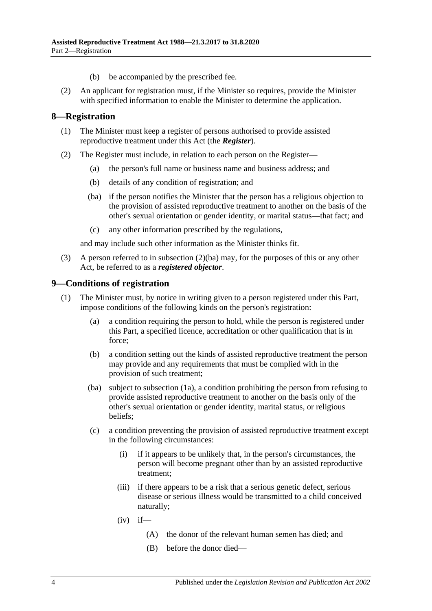- (b) be accompanied by the prescribed fee.
- (2) An applicant for registration must, if the Minister so requires, provide the Minister with specified information to enable the Minister to determine the application.

#### <span id="page-3-0"></span>**8—Registration**

- (1) The Minister must keep a register of persons authorised to provide assisted reproductive treatment under this Act (the *Register*).
- <span id="page-3-3"></span>(2) The Register must include, in relation to each person on the Register—
	- (a) the person's full name or business name and business address; and
	- (b) details of any condition of registration; and
	- (ba) if the person notifies the Minister that the person has a religious objection to the provision of assisted reproductive treatment to another on the basis of the other's sexual orientation or gender identity, or marital status—that fact; and
	- (c) any other information prescribed by the regulations,

and may include such other information as the Minister thinks fit.

<span id="page-3-2"></span>(3) A person referred to in [subsection](#page-3-3) (2)(ba) may, for the purposes of this or any other Act, be referred to as a *registered objector*.

#### <span id="page-3-1"></span>**9—Conditions of registration**

- <span id="page-3-4"></span>(1) The Minister must, by notice in writing given to a person registered under this Part, impose conditions of the following kinds on the person's registration:
	- (a) a condition requiring the person to hold, while the person is registered under this Part, a specified licence, accreditation or other qualification that is in force;
	- (b) a condition setting out the kinds of assisted reproductive treatment the person may provide and any requirements that must be complied with in the provision of such treatment;
	- (ba) subject to [subsection](#page-4-1) (1a), a condition prohibiting the person from refusing to provide assisted reproductive treatment to another on the basis only of the other's sexual orientation or gender identity, marital status, or religious beliefs;
	- (c) a condition preventing the provision of assisted reproductive treatment except in the following circumstances:
		- (i) if it appears to be unlikely that, in the person's circumstances, the person will become pregnant other than by an assisted reproductive treatment;
		- (iii) if there appears to be a risk that a serious genetic defect, serious disease or serious illness would be transmitted to a child conceived naturally;
		- $(iv)$  if—
			- (A) the donor of the relevant human semen has died; and
			- (B) before the donor died—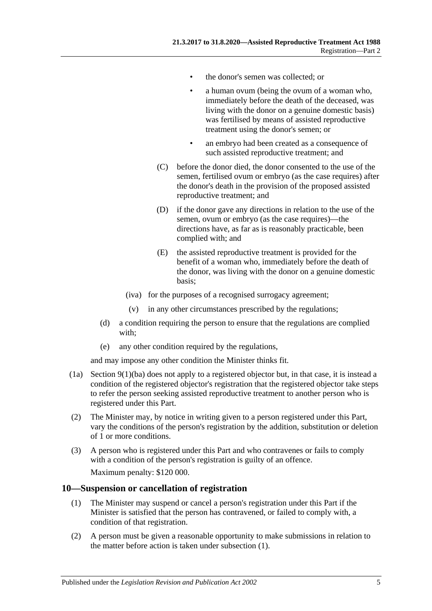- the donor's semen was collected; or
- a human ovum (being the ovum of a woman who, immediately before the death of the deceased, was living with the donor on a genuine domestic basis) was fertilised by means of assisted reproductive treatment using the donor's semen; or
- an embryo had been created as a consequence of such assisted reproductive treatment; and
- (C) before the donor died, the donor consented to the use of the semen, fertilised ovum or embryo (as the case requires) after the donor's death in the provision of the proposed assisted reproductive treatment; and
- (D) if the donor gave any directions in relation to the use of the semen, ovum or embryo (as the case requires)—the directions have, as far as is reasonably practicable, been complied with; and
- (E) the assisted reproductive treatment is provided for the benefit of a woman who, immediately before the death of the donor, was living with the donor on a genuine domestic basis;
- (iva) for the purposes of a recognised surrogacy agreement;
- (v) in any other circumstances prescribed by the regulations;
- (d) a condition requiring the person to ensure that the regulations are complied with;
- (e) any other condition required by the regulations,

and may impose any other condition the Minister thinks fit.

- <span id="page-4-1"></span>(1a) Section [9\(1\)\(ba\)](#page-3-4) does not apply to a registered objector but, in that case, it is instead a condition of the registered objector's registration that the registered objector take steps to refer the person seeking assisted reproductive treatment to another person who is registered under this Part.
- (2) The Minister may, by notice in writing given to a person registered under this Part, vary the conditions of the person's registration by the addition, substitution or deletion of 1 or more conditions.
- (3) A person who is registered under this Part and who contravenes or fails to comply with a condition of the person's registration is guilty of an offence. Maximum penalty: \$120 000.

#### <span id="page-4-2"></span><span id="page-4-0"></span>**10—Suspension or cancellation of registration**

- (1) The Minister may suspend or cancel a person's registration under this Part if the Minister is satisfied that the person has contravened, or failed to comply with, a condition of that registration.
- (2) A person must be given a reasonable opportunity to make submissions in relation to the matter before action is taken under [subsection](#page-4-2) (1).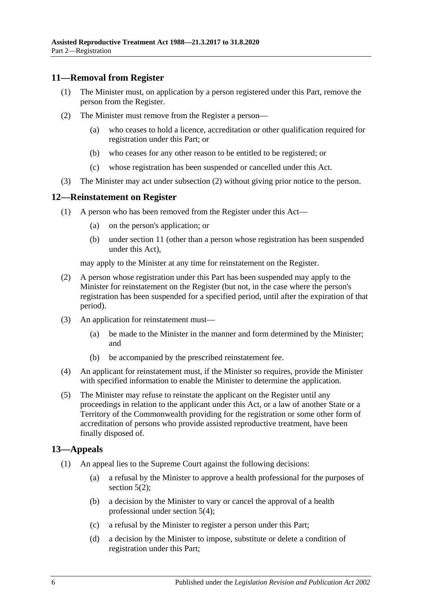#### <span id="page-5-0"></span>**11—Removal from Register**

- (1) The Minister must, on application by a person registered under this Part, remove the person from the Register.
- <span id="page-5-3"></span>(2) The Minister must remove from the Register a person—
	- (a) who ceases to hold a licence, accreditation or other qualification required for registration under this Part; or
	- (b) who ceases for any other reason to be entitled to be registered; or
	- (c) whose registration has been suspended or cancelled under this Act.
- (3) The Minister may act under [subsection](#page-5-3) (2) without giving prior notice to the person.

#### <span id="page-5-1"></span>**12—Reinstatement on Register**

- (1) A person who has been removed from the Register under this Act—
	- (a) on the person's application; or
	- (b) under [section](#page-5-0) 11 (other than a person whose registration has been suspended under this Act),

may apply to the Minister at any time for reinstatement on the Register.

- (2) A person whose registration under this Part has been suspended may apply to the Minister for reinstatement on the Register (but not, in the case where the person's registration has been suspended for a specified period, until after the expiration of that period).
- (3) An application for reinstatement must—
	- (a) be made to the Minister in the manner and form determined by the Minister; and
	- (b) be accompanied by the prescribed reinstatement fee.
- (4) An applicant for reinstatement must, if the Minister so requires, provide the Minister with specified information to enable the Minister to determine the application.
- (5) The Minister may refuse to reinstate the applicant on the Register until any proceedings in relation to the applicant under this Act, or a law of another State or a Territory of the Commonwealth providing for the registration or some other form of accreditation of persons who provide assisted reproductive treatment, have been finally disposed of.

#### <span id="page-5-2"></span>**13—Appeals**

- (1) An appeal lies to the Supreme Court against the following decisions:
	- (a) a refusal by the Minister to approve a health professional for the purposes of [section](#page-2-6)  $5(2)$ ;
	- (b) a decision by the Minister to vary or cancel the approval of a health professional under [section](#page-2-7) 5(4);
	- (c) a refusal by the Minister to register a person under this Part;
	- (d) a decision by the Minister to impose, substitute or delete a condition of registration under this Part;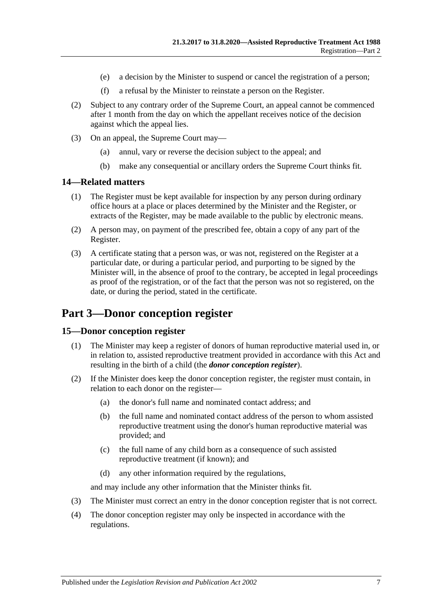- (e) a decision by the Minister to suspend or cancel the registration of a person;
- (f) a refusal by the Minister to reinstate a person on the Register.
- (2) Subject to any contrary order of the Supreme Court, an appeal cannot be commenced after 1 month from the day on which the appellant receives notice of the decision against which the appeal lies.
- (3) On an appeal, the Supreme Court may—
	- (a) annul, vary or reverse the decision subject to the appeal; and
	- (b) make any consequential or ancillary orders the Supreme Court thinks fit.

#### <span id="page-6-0"></span>**14—Related matters**

- (1) The Register must be kept available for inspection by any person during ordinary office hours at a place or places determined by the Minister and the Register, or extracts of the Register, may be made available to the public by electronic means.
- (2) A person may, on payment of the prescribed fee, obtain a copy of any part of the Register.
- (3) A certificate stating that a person was, or was not, registered on the Register at a particular date, or during a particular period, and purporting to be signed by the Minister will, in the absence of proof to the contrary, be accepted in legal proceedings as proof of the registration, or of the fact that the person was not so registered, on the date, or during the period, stated in the certificate.

## <span id="page-6-1"></span>**Part 3—Donor conception register**

#### <span id="page-6-2"></span>**15—Donor conception register**

- (1) The Minister may keep a register of donors of human reproductive material used in, or in relation to, assisted reproductive treatment provided in accordance with this Act and resulting in the birth of a child (the *donor conception register*).
- (2) If the Minister does keep the donor conception register, the register must contain, in relation to each donor on the register—
	- (a) the donor's full name and nominated contact address; and
	- (b) the full name and nominated contact address of the person to whom assisted reproductive treatment using the donor's human reproductive material was provided; and
	- (c) the full name of any child born as a consequence of such assisted reproductive treatment (if known); and
	- (d) any other information required by the regulations,

and may include any other information that the Minister thinks fit.

- (3) The Minister must correct an entry in the donor conception register that is not correct.
- (4) The donor conception register may only be inspected in accordance with the regulations.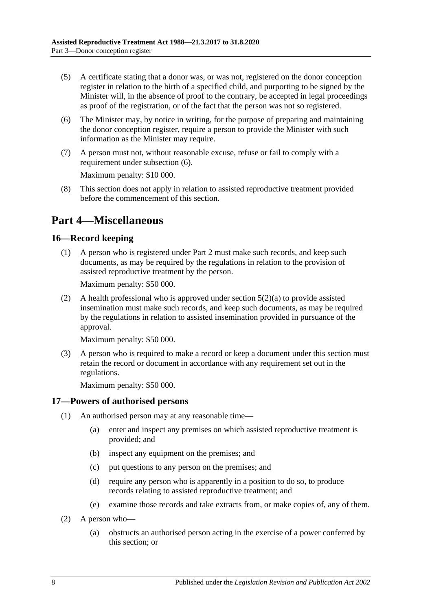- (5) A certificate stating that a donor was, or was not, registered on the donor conception register in relation to the birth of a specified child, and purporting to be signed by the Minister will, in the absence of proof to the contrary, be accepted in legal proceedings as proof of the registration, or of the fact that the person was not so registered.
- <span id="page-7-3"></span>(6) The Minister may, by notice in writing, for the purpose of preparing and maintaining the donor conception register, require a person to provide the Minister with such information as the Minister may require.
- (7) A person must not, without reasonable excuse, refuse or fail to comply with a requirement under [subsection](#page-7-3) (6).

Maximum penalty: \$10 000.

(8) This section does not apply in relation to assisted reproductive treatment provided before the commencement of this section.

## <span id="page-7-0"></span>**Part 4—Miscellaneous**

### <span id="page-7-1"></span>**16—Record keeping**

(1) A person who is registered under [Part 2](#page-2-0) must make such records, and keep such documents, as may be required by the regulations in relation to the provision of assisted reproductive treatment by the person.

Maximum penalty: \$50 000.

(2) A health professional who is approved under [section](#page-2-5)  $5(2)(a)$  to provide assisted insemination must make such records, and keep such documents, as may be required by the regulations in relation to assisted insemination provided in pursuance of the approval.

Maximum penalty: \$50 000.

(3) A person who is required to make a record or keep a document under this section must retain the record or document in accordance with any requirement set out in the regulations.

Maximum penalty: \$50 000.

### <span id="page-7-2"></span>**17—Powers of authorised persons**

- (1) An authorised person may at any reasonable time—
	- (a) enter and inspect any premises on which assisted reproductive treatment is provided; and
	- (b) inspect any equipment on the premises; and
	- (c) put questions to any person on the premises; and
	- (d) require any person who is apparently in a position to do so, to produce records relating to assisted reproductive treatment; and
	- (e) examine those records and take extracts from, or make copies of, any of them.
- (2) A person who—
	- (a) obstructs an authorised person acting in the exercise of a power conferred by this section; or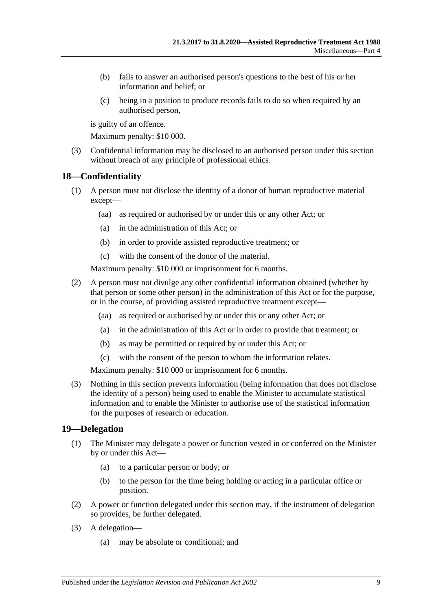- (b) fails to answer an authorised person's questions to the best of his or her information and belief; or
- (c) being in a position to produce records fails to do so when required by an authorised person,

is guilty of an offence.

Maximum penalty: \$10 000.

(3) Confidential information may be disclosed to an authorised person under this section without breach of any principle of professional ethics.

#### <span id="page-8-0"></span>**18—Confidentiality**

- (1) A person must not disclose the identity of a donor of human reproductive material except—
	- (aa) as required or authorised by or under this or any other Act; or
	- (a) in the administration of this Act; or
	- (b) in order to provide assisted reproductive treatment; or
	- (c) with the consent of the donor of the material.

Maximum penalty: \$10 000 or imprisonment for 6 months.

- (2) A person must not divulge any other confidential information obtained (whether by that person or some other person) in the administration of this Act or for the purpose, or in the course, of providing assisted reproductive treatment except—
	- (aa) as required or authorised by or under this or any other Act; or
	- (a) in the administration of this Act or in order to provide that treatment; or
	- (b) as may be permitted or required by or under this Act; or
	- (c) with the consent of the person to whom the information relates.

Maximum penalty: \$10 000 or imprisonment for 6 months.

(3) Nothing in this section prevents information (being information that does not disclose the identity of a person) being used to enable the Minister to accumulate statistical information and to enable the Minister to authorise use of the statistical information for the purposes of research or education.

#### <span id="page-8-1"></span>**19—Delegation**

- (1) The Minister may delegate a power or function vested in or conferred on the Minister by or under this Act—
	- (a) to a particular person or body; or
	- (b) to the person for the time being holding or acting in a particular office or position.
- (2) A power or function delegated under this section may, if the instrument of delegation so provides, be further delegated.
- (3) A delegation—
	- (a) may be absolute or conditional; and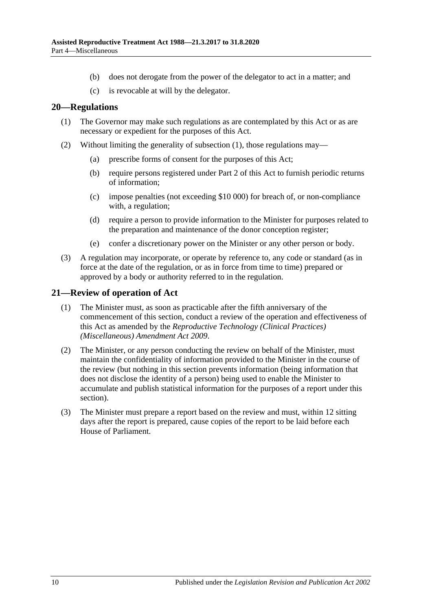- (b) does not derogate from the power of the delegator to act in a matter; and
- (c) is revocable at will by the delegator.

#### <span id="page-9-2"></span><span id="page-9-0"></span>**20—Regulations**

- (1) The Governor may make such regulations as are contemplated by this Act or as are necessary or expedient for the purposes of this Act.
- (2) Without limiting the generality of [subsection](#page-9-2) (1), those regulations may—
	- (a) prescribe forms of consent for the purposes of this Act;
	- (b) require persons registered under [Part 2](#page-2-0) of this Act to furnish periodic returns of information;
	- (c) impose penalties (not exceeding \$10 000) for breach of, or non-compliance with, a regulation;
	- (d) require a person to provide information to the Minister for purposes related to the preparation and maintenance of the donor conception register;
	- (e) confer a discretionary power on the Minister or any other person or body.
- (3) A regulation may incorporate, or operate by reference to, any code or standard (as in force at the date of the regulation, or as in force from time to time) prepared or approved by a body or authority referred to in the regulation.

#### <span id="page-9-1"></span>**21—Review of operation of Act**

- (1) The Minister must, as soon as practicable after the fifth anniversary of the commencement of this section, conduct a review of the operation and effectiveness of this Act as amended by the *[Reproductive Technology \(Clinical Practices\)](http://www.legislation.sa.gov.au/index.aspx?action=legref&type=act&legtitle=Reproductive%20Technology%20(Clinical%20Practices)%20(Miscellaneous)%20Amendment%20Act%202009)  [\(Miscellaneous\) Amendment Act](http://www.legislation.sa.gov.au/index.aspx?action=legref&type=act&legtitle=Reproductive%20Technology%20(Clinical%20Practices)%20(Miscellaneous)%20Amendment%20Act%202009) 2009*.
- (2) The Minister, or any person conducting the review on behalf of the Minister, must maintain the confidentiality of information provided to the Minister in the course of the review (but nothing in this section prevents information (being information that does not disclose the identity of a person) being used to enable the Minister to accumulate and publish statistical information for the purposes of a report under this section).
- (3) The Minister must prepare a report based on the review and must, within 12 sitting days after the report is prepared, cause copies of the report to be laid before each House of Parliament.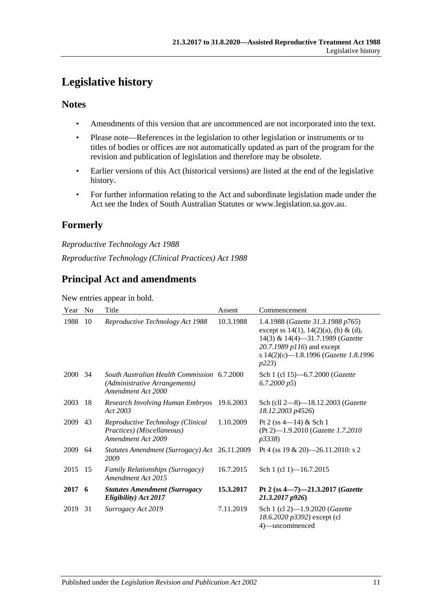## <span id="page-10-0"></span>**Legislative history**

### **Notes**

- Amendments of this version that are uncommenced are not incorporated into the text.
- Please note—References in the legislation to other legislation or instruments or to titles of bodies or offices are not automatically updated as part of the program for the revision and publication of legislation and therefore may be obsolete.
- Earlier versions of this Act (historical versions) are listed at the end of the legislative history.
- For further information relating to the Act and subordinate legislation made under the Act see the Index of South Australian Statutes or www.legislation.sa.gov.au.

## **Formerly**

*Reproductive Technology Act 1988 Reproductive Technology (Clinical Practices) Act 1988*

## **Principal Act and amendments**

New entries appear in bold.

| Year | N <sub>0</sub> | Title                                                                                              | Assent    | Commencement                                                                                                                                                                                   |
|------|----------------|----------------------------------------------------------------------------------------------------|-----------|------------------------------------------------------------------------------------------------------------------------------------------------------------------------------------------------|
| 1988 | 10             | Reproductive Technology Act 1988                                                                   | 10.3.1988 | 1.4.1988 (Gazette 31.3.1988 p765)<br>except ss 14(1), 14(2)(a), (b) & (d),<br>14(3) & 14(4)-31.7.1989 (Gazette<br>20.7.1989 p116) and except<br>s 14(2)(c)-1.8.1996 (Gazette 1.8.1996<br>p223) |
| 2000 | -34            | South Australian Health Commission 6.7.2000<br>(Administrative Arrangements)<br>Amendment Act 2000 |           | Sch 1 (cl 15)-6.7.2000 (Gazette<br>6.7.2000 p5                                                                                                                                                 |
| 2003 | 18             | Research Involving Human Embryos<br>Act 2003                                                       | 19.6.2003 | Sch (cll 2-8)-18.12.2003 (Gazette<br>18.12.2003 p4526)                                                                                                                                         |
| 2009 | 43             | Reproductive Technology (Clinical<br>Practices) (Miscellaneous)<br>Amendment Act 2009              | 1.10.2009 | Pt 2 (ss $4-14$ ) & Sch 1<br>(Pt 2)-1.9.2010 (Gazette 1.7.2010<br>p3338)                                                                                                                       |
| 2009 | 64             | Statutes Amendment (Surrogacy) Act 26.11.2009<br>2009                                              |           | Pt 4 (ss $19 \& 20$ )—26.11.2010: s 2                                                                                                                                                          |
| 2015 | 15             | <b>Family Relationships (Surrogacy)</b><br>Amendment Act 2015                                      | 16.7.2015 | Sch 1 (cl 1)-16.7.2015                                                                                                                                                                         |
| 2017 | - 6            | <b>Statutes Amendment (Surrogacy</b><br>Eligibility) Act 2017                                      | 15.3.2017 | Pt 2 (ss $4 - 7 - 21.3.2017$ ( <i>Gazette</i><br>21.3.2017 p926)                                                                                                                               |
| 2019 | 31             | Surrogacy Act 2019                                                                                 | 7.11.2019 | Sch 1 (cl 2)-1.9.2020 (Gazette<br>18.6.2020 p3392) except (cl<br>4)-uncommenced                                                                                                                |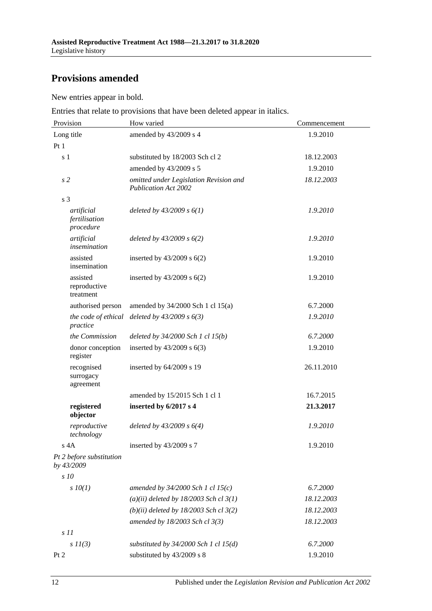## **Provisions amended**

New entries appear in bold.

Entries that relate to provisions that have been deleted appear in italics.

| Provision                                | How varied                                                            | Commencement |  |
|------------------------------------------|-----------------------------------------------------------------------|--------------|--|
| Long title                               | amended by 43/2009 s 4                                                | 1.9.2010     |  |
| Pt1                                      |                                                                       |              |  |
| s <sub>1</sub>                           | substituted by 18/2003 Sch cl 2                                       | 18.12.2003   |  |
|                                          | amended by 43/2009 s 5                                                | 1.9.2010     |  |
| s <sub>2</sub>                           | omitted under Legislation Revision and<br><b>Publication Act 2002</b> | 18.12.2003   |  |
| s <sub>3</sub>                           |                                                                       |              |  |
| artificial<br>fertilisation<br>procedure | deleted by $43/2009 s 6(1)$                                           | 1.9.2010     |  |
| artificial<br>insemination               | deleted by $43/2009 s 6(2)$                                           | 1.9.2010     |  |
| assisted<br>insemination                 | inserted by $43/2009$ s $6(2)$                                        | 1.9.2010     |  |
| assisted<br>reproductive<br>treatment    | inserted by $43/2009$ s $6(2)$                                        | 1.9.2010     |  |
| authorised person                        | amended by $34/2000$ Sch 1 cl $15(a)$                                 | 6.7.2000     |  |
| the code of ethical<br>practice          | deleted by $43/2009 s 6(3)$                                           | 1.9.2010     |  |
| the Commission                           | deleted by $34/2000$ Sch 1 cl $15(b)$                                 | 6.7.2000     |  |
| donor conception<br>register             | inserted by $43/2009$ s $6(3)$                                        | 1.9.2010     |  |
| recognised<br>surrogacy<br>agreement     | inserted by 64/2009 s 19                                              | 26.11.2010   |  |
|                                          | amended by 15/2015 Sch 1 cl 1                                         | 16.7.2015    |  |
| registered<br>objector                   | inserted by 6/2017 s 4                                                | 21.3.2017    |  |
| reproductive<br>technology               | deleted by $43/2009 s 6(4)$                                           | 1.9.2010     |  |
| s 4A                                     | inserted by 43/2009 s 7                                               | 1.9.2010     |  |
| Pt 2 before substitution<br>by 43/2009   |                                                                       |              |  |
| $\sqrt{s}$ 10                            |                                                                       |              |  |
| $s$ $10(1)$                              | amended by $34/2000$ Sch 1 cl 15(c)                                   | 6.7.2000     |  |
|                                          | $(a)(ii)$ deleted by 18/2003 Sch cl 3(1)                              | 18.12.2003   |  |
|                                          | $(b)(ii)$ deleted by 18/2003 Sch cl 3(2)                              | 18.12.2003   |  |
|                                          | amended by 18/2003 Sch cl 3(3)                                        | 18.12.2003   |  |
| $s$ 11                                   |                                                                       |              |  |
| $s\ II(3)$                               | substituted by $34/2000$ Sch 1 cl $15(d)$                             | 6.7.2000     |  |
| Pt 2                                     | substituted by 43/2009 s 8                                            | 1.9.2010     |  |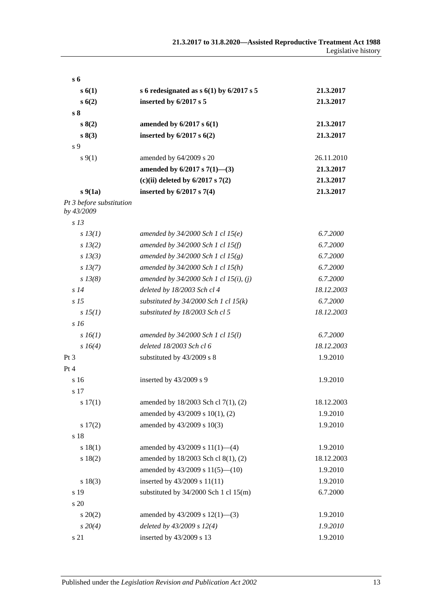| $s_{\rm 6}$                            |                                            |            |
|----------------------------------------|--------------------------------------------|------------|
| s(1)                                   | s 6 redesignated as $s$ 6(1) by 6/2017 s 5 | 21.3.2017  |
| s(6(2)                                 | inserted by 6/2017 s 5                     | 21.3.2017  |
| s <sub>8</sub>                         |                                            |            |
| s(2)                                   | amended by $6/2017$ s $6(1)$               | 21.3.2017  |
| s 8(3)                                 | inserted by $6/2017$ s $6(2)$              | 21.3.2017  |
| s 9                                    |                                            |            |
| $s \, 9(1)$                            | amended by 64/2009 s 20                    | 26.11.2010 |
|                                        | amended by $6/2017$ s $7(1)$ —(3)          | 21.3.2017  |
|                                        | (c)(ii) deleted by $6/2017$ s $7(2)$       | 21.3.2017  |
| $s\,9(1a)$                             | inserted by $6/2017$ s $7(4)$              | 21.3.2017  |
| Pt 3 before substitution<br>by 43/2009 |                                            |            |
| s <sub>13</sub>                        |                                            |            |
| s 13(1)                                | amended by $34/2000$ Sch 1 cl $15(e)$      | 6.7.2000   |
| $s\,13(2)$                             | amended by 34/2000 Sch 1 cl 15(f)          | 6.7.2000   |
| $s$ 13(3)                              | amended by $34/2000$ Sch 1 cl $15(g)$      | 6.7.2000   |
| $s\,13(7)$                             | amended by 34/2000 Sch 1 cl 15(h)          | 6.7.2000   |
| $s\,13(8)$                             | amended by $34/2000$ Sch 1 cl 15(i), (j)   | 6.7.2000   |
| s14                                    | deleted by 18/2003 Sch cl 4                | 18.12.2003 |
| s <sub>15</sub>                        | substituted by $34/2000$ Sch 1 cl 15(k)    | 6.7.2000   |
| $s\,15(1)$                             | substituted by 18/2003 Sch cl 5            | 18.12.2003 |
| s16                                    |                                            |            |
| $s\,16(1)$                             | amended by 34/2000 Sch 1 cl 15(l)          | 6.7.2000   |
| s 16(4)                                | deleted 18/2003 Sch cl 6                   | 18.12.2003 |
| Pt <sub>3</sub>                        | substituted by 43/2009 s 8                 | 1.9.2010   |
| Pt 4                                   |                                            |            |
| s <sub>16</sub>                        | inserted by 43/2009 s 9                    | 1.9.2010   |
| s 17                                   |                                            |            |
| s 17(1)                                | amended by 18/2003 Sch cl 7(1), (2)        | 18.12.2003 |
|                                        | amended by 43/2009 s 10(1), (2)            | 1.9.2010   |
| s 17(2)                                | amended by 43/2009 s 10(3)                 | 1.9.2010   |
| s 18                                   |                                            |            |
| s 18(1)                                | amended by $43/2009$ s $11(1)$ —(4)        | 1.9.2010   |
| s 18(2)                                | amended by 18/2003 Sch cl 8(1), (2)        | 18.12.2003 |
|                                        | amended by 43/2009 s 11(5)-(10)            | 1.9.2010   |
| s 18(3)                                | inserted by 43/2009 s 11(11)               | 1.9.2010   |
| s 19                                   | substituted by $34/2000$ Sch 1 cl 15(m)    | 6.7.2000   |
| s 20                                   |                                            |            |
| $s\,20(2)$                             | amended by $43/2009$ s $12(1)$ —(3)        | 1.9.2010   |
| $s\,20(4)$                             | deleted by 43/2009 s 12(4)                 | 1.9.2010   |
| s 21                                   | inserted by 43/2009 s 13                   | 1.9.2010   |